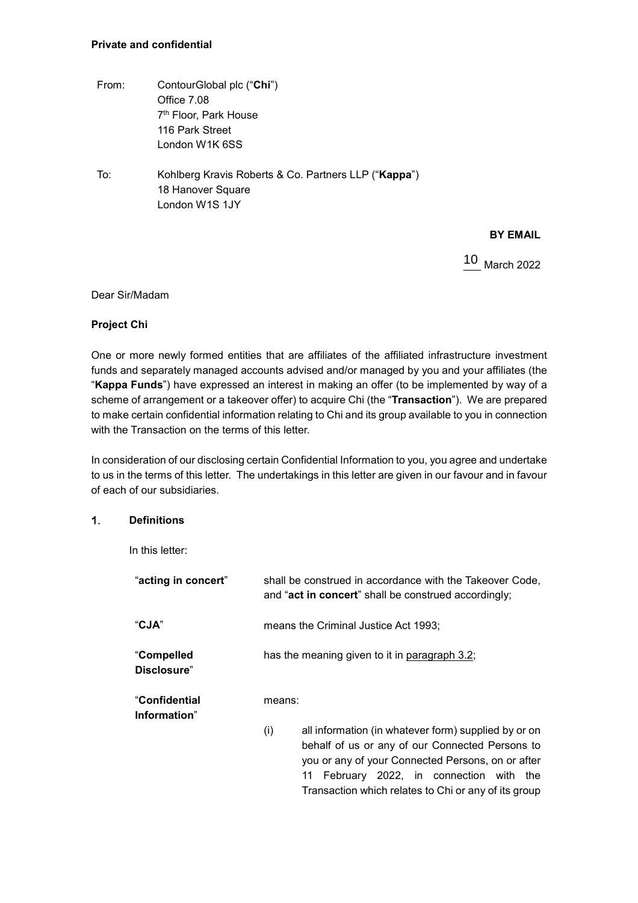# **Private and confidential**

- From: ContourGlobal plc ("**Chi**") Office 7.08 7th Floor, Park House 116 Park Street London W1K 6SS
- To: Kohlberg Kravis Roberts & Co. Partners LLP ("**Kappa**") 18 Hanover Square London W1S 1JY

# **BY EMAIL**

10 March 2022

# Dear Sir/Madam

# **Project Chi**

One or more newly formed entities that are affiliates of the affiliated infrastructure investment funds and separately managed accounts advised and/or managed by you and your affiliates (the "**Kappa Funds**") have expressed an interest in making an offer (to be implemented by way of a scheme of arrangement or a takeover offer) to acquire Chi (the "**Transaction**"). We are prepared to make certain confidential information relating to Chi and its group available to you in connection with the Transaction on the terms of this letter.

In consideration of our disclosing certain Confidential Information to you, you agree and undertake to us in the terms of this letter. The undertakings in this letter are given in our favour and in favour of each of our subsidiaries.

#### 1. **Definitions**

In this letter:

| "acting in concert"               | shall be construed in accordance with the Takeover Code,<br>and "act in concert" shall be construed accordingly;                                                                                                                                                           |
|-----------------------------------|----------------------------------------------------------------------------------------------------------------------------------------------------------------------------------------------------------------------------------------------------------------------------|
| "CJA"                             | means the Criminal Justice Act 1993;                                                                                                                                                                                                                                       |
| "Compelled<br><b>Disclosure</b> " | has the meaning given to it in paragraph 3.2;                                                                                                                                                                                                                              |
| "Confidential<br>Information"     | means:                                                                                                                                                                                                                                                                     |
|                                   | all information (in whatever form) supplied by or on<br>(i)<br>behalf of us or any of our Connected Persons to<br>you or any of your Connected Persons, on or after<br>February 2022, in connection with the<br>11<br>Transaction which relates to Chi or any of its group |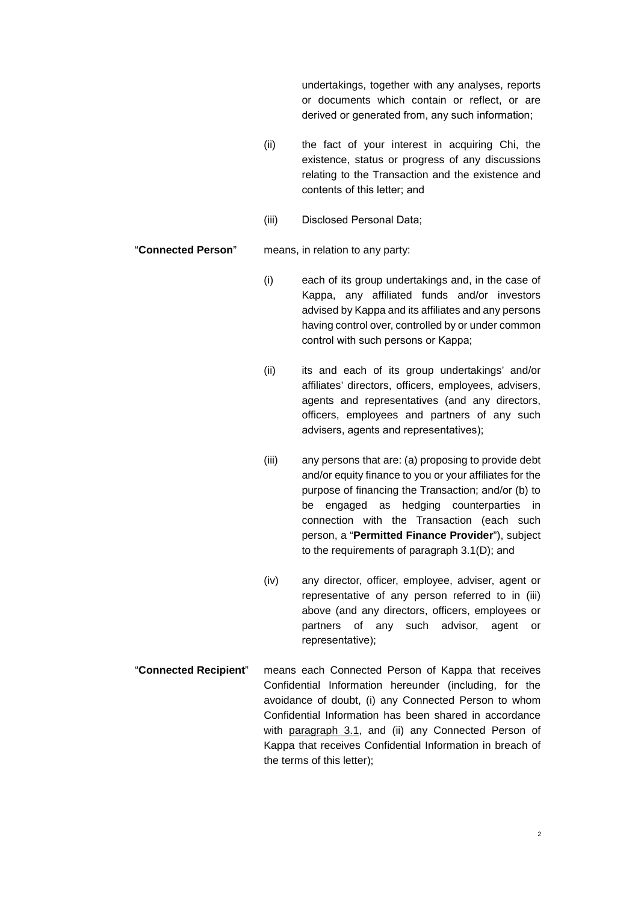undertakings, together with any analyses, reports or documents which contain or reflect, or are derived or generated from, any such information;

- (ii) the fact of your interest in acquiring Chi, the existence, status or progress of any discussions relating to the Transaction and the existence and contents of this letter; and
- (iii) Disclosed Personal Data;

"**Connected Person**" means, in relation to any party:

- (i) each of its group undertakings and, in the case of Kappa, any affiliated funds and/or investors advised by Kappa and its affiliates and any persons having control over, controlled by or under common control with such persons or Kappa;
- (ii) its and each of its group undertakings' and/or affiliates' directors, officers, employees, advisers, agents and representatives (and any directors, officers, employees and partners of any such advisers, agents and representatives);
- (iii) any persons that are: (a) proposing to provide debt and/or equity finance to you or your affiliates for the purpose of financing the Transaction; and/or (b) to be engaged as hedging counterparties in connection with the Transaction (each such person, a "**Permitted Finance Provider**"), subject to the requirements of paragraph 3.1(D); and
- (iv) any director, officer, employee, adviser, agent or representative of any person referred to in (iii) above (and any directors, officers, employees or partners of any such advisor, agent or representative);
- "**Connected Recipient**" means each Connected Person of Kappa that receives Confidential Information hereunder (including, for the avoidance of doubt, (i) any Connected Person to whom Confidential Information has been shared in accordance with paragraph 3.1, and (ii) any Connected Person of Kappa that receives Confidential Information in breach of the terms of this letter);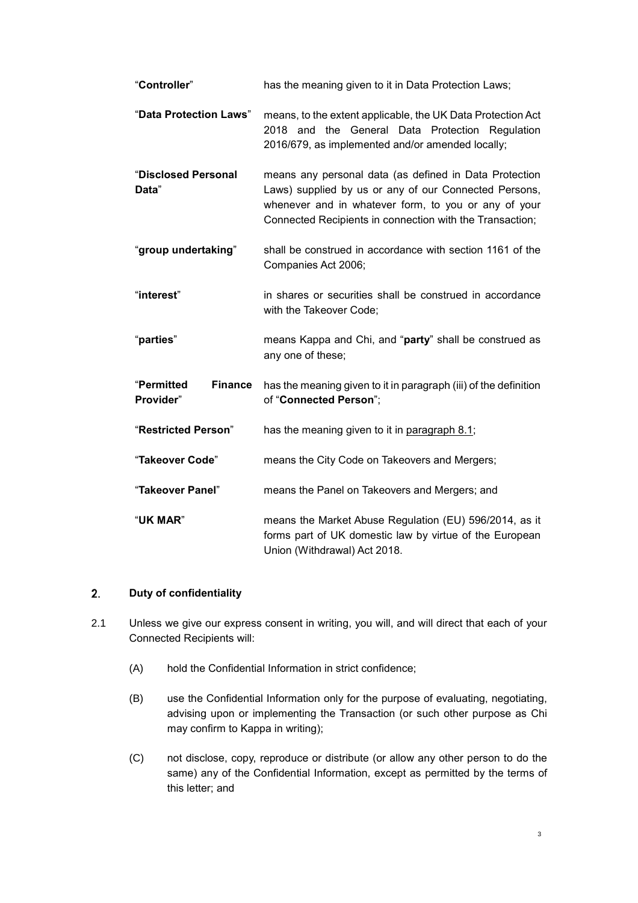| "Controller"                              | has the meaning given to it in Data Protection Laws;                                                                                                                                                                                |
|-------------------------------------------|-------------------------------------------------------------------------------------------------------------------------------------------------------------------------------------------------------------------------------------|
| "Data Protection Laws"                    | means, to the extent applicable, the UK Data Protection Act<br>2018 and the General Data Protection Regulation<br>2016/679, as implemented and/or amended locally;                                                                  |
| "Disclosed Personal<br>Data"              | means any personal data (as defined in Data Protection<br>Laws) supplied by us or any of our Connected Persons,<br>whenever and in whatever form, to you or any of your<br>Connected Recipients in connection with the Transaction; |
| "group undertaking"                       | shall be construed in accordance with section 1161 of the<br>Companies Act 2006;                                                                                                                                                    |
| "interest"                                | in shares or securities shall be construed in accordance<br>with the Takeover Code;                                                                                                                                                 |
| "parties"                                 | means Kappa and Chi, and "party" shall be construed as<br>any one of these;                                                                                                                                                         |
| <b>Finance</b><br>"Permitted<br>Provider" | has the meaning given to it in paragraph (iii) of the definition<br>of "Connected Person";                                                                                                                                          |
| "Restricted Person"                       | has the meaning given to it in paragraph 8.1;                                                                                                                                                                                       |
| "Takeover Code"                           | means the City Code on Takeovers and Mergers;                                                                                                                                                                                       |
| "Takeover Panel"                          | means the Panel on Takeovers and Mergers; and                                                                                                                                                                                       |
| "UK MAR"                                  | means the Market Abuse Regulation (EU) 596/2014, as it<br>forms part of UK domestic law by virtue of the European<br>Union (Withdrawal) Act 2018.                                                                                   |

#### $2.$ **Duty of confidentiality**

- 2.1 Unless we give our express consent in writing, you will, and will direct that each of your Connected Recipients will:
	- (A) hold the Confidential Information in strict confidence;
	- (B) use the Confidential Information only for the purpose of evaluating, negotiating, advising upon or implementing the Transaction (or such other purpose as Chi may confirm to Kappa in writing);
	- (C) not disclose, copy, reproduce or distribute (or allow any other person to do the same) any of the Confidential Information, except as permitted by the terms of this letter; and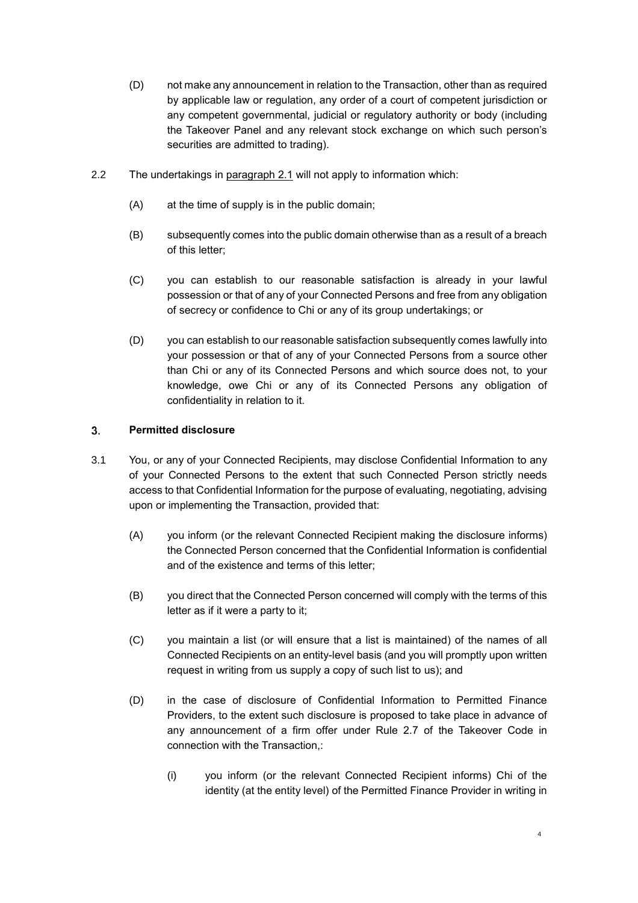- (D) not make any announcement in relation to the Transaction, other than as required by applicable law or regulation, any order of a court of competent jurisdiction or any competent governmental, judicial or regulatory authority or body (including the Takeover Panel and any relevant stock exchange on which such person's securities are admitted to trading).
- 2.2 The undertakings in paragraph 2.1 will not apply to information which:
	- (A) at the time of supply is in the public domain;
	- (B) subsequently comes into the public domain otherwise than as a result of a breach of this letter;
	- (C) you can establish to our reasonable satisfaction is already in your lawful possession or that of any of your Connected Persons and free from any obligation of secrecy or confidence to Chi or any of its group undertakings; or
	- (D) you can establish to our reasonable satisfaction subsequently comes lawfully into your possession or that of any of your Connected Persons from a source other than Chi or any of its Connected Persons and which source does not, to your knowledge, owe Chi or any of its Connected Persons any obligation of confidentiality in relation to it.

## 3. **Permitted disclosure**

- 3.1 You, or any of your Connected Recipients, may disclose Confidential Information to any of your Connected Persons to the extent that such Connected Person strictly needs access to that Confidential Information for the purpose of evaluating, negotiating, advising upon or implementing the Transaction, provided that:
	- (A) you inform (or the relevant Connected Recipient making the disclosure informs) the Connected Person concerned that the Confidential Information is confidential and of the existence and terms of this letter;
	- (B) you direct that the Connected Person concerned will comply with the terms of this letter as if it were a party to it;
	- (C) you maintain a list (or will ensure that a list is maintained) of the names of all Connected Recipients on an entity-level basis (and you will promptly upon written request in writing from us supply a copy of such list to us); and
	- (D) in the case of disclosure of Confidential Information to Permitted Finance Providers, to the extent such disclosure is proposed to take place in advance of any announcement of a firm offer under Rule 2.7 of the Takeover Code in connection with the Transaction,:
		- (i) you inform (or the relevant Connected Recipient informs) Chi of the identity (at the entity level) of the Permitted Finance Provider in writing in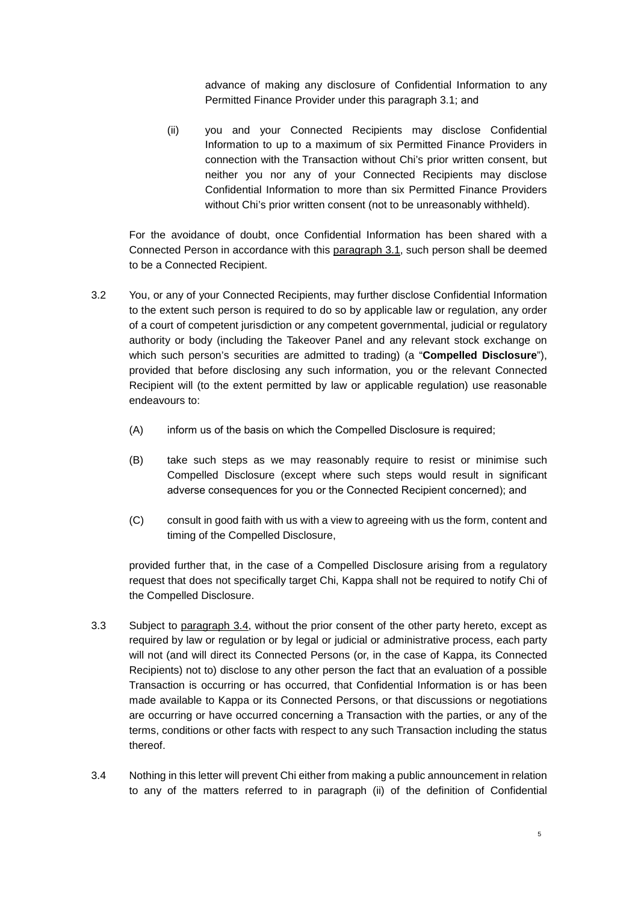advance of making any disclosure of Confidential Information to any Permitted Finance Provider under this paragraph 3.1; and

(ii) you and your Connected Recipients may disclose Confidential Information to up to a maximum of six Permitted Finance Providers in connection with the Transaction without Chi's prior written consent, but neither you nor any of your Connected Recipients may disclose Confidential Information to more than six Permitted Finance Providers without Chi's prior written consent (not to be unreasonably withheld).

For the avoidance of doubt, once Confidential Information has been shared with a Connected Person in accordance with this paragraph 3.1, such person shall be deemed to be a Connected Recipient.

- 3.2 You, or any of your Connected Recipients, may further disclose Confidential Information to the extent such person is required to do so by applicable law or regulation, any order of a court of competent jurisdiction or any competent governmental, judicial or regulatory authority or body (including the Takeover Panel and any relevant stock exchange on which such person's securities are admitted to trading) (a "**Compelled Disclosure**"), provided that before disclosing any such information, you or the relevant Connected Recipient will (to the extent permitted by law or applicable regulation) use reasonable endeavours to:
	- (A) inform us of the basis on which the Compelled Disclosure is required;
	- (B) take such steps as we may reasonably require to resist or minimise such Compelled Disclosure (except where such steps would result in significant adverse consequences for you or the Connected Recipient concerned); and
	- (C) consult in good faith with us with a view to agreeing with us the form, content and timing of the Compelled Disclosure,

provided further that, in the case of a Compelled Disclosure arising from a regulatory request that does not specifically target Chi, Kappa shall not be required to notify Chi of the Compelled Disclosure.

- 3.3 Subject to paragraph 3.4, without the prior consent of the other party hereto, except as required by law or regulation or by legal or judicial or administrative process, each party will not (and will direct its Connected Persons (or, in the case of Kappa, its Connected Recipients) not to) disclose to any other person the fact that an evaluation of a possible Transaction is occurring or has occurred, that Confidential Information is or has been made available to Kappa or its Connected Persons, or that discussions or negotiations are occurring or have occurred concerning a Transaction with the parties, or any of the terms, conditions or other facts with respect to any such Transaction including the status thereof.
- 3.4 Nothing in this letter will prevent Chi either from making a public announcement in relation to any of the matters referred to in paragraph (ii) of the definition of Confidential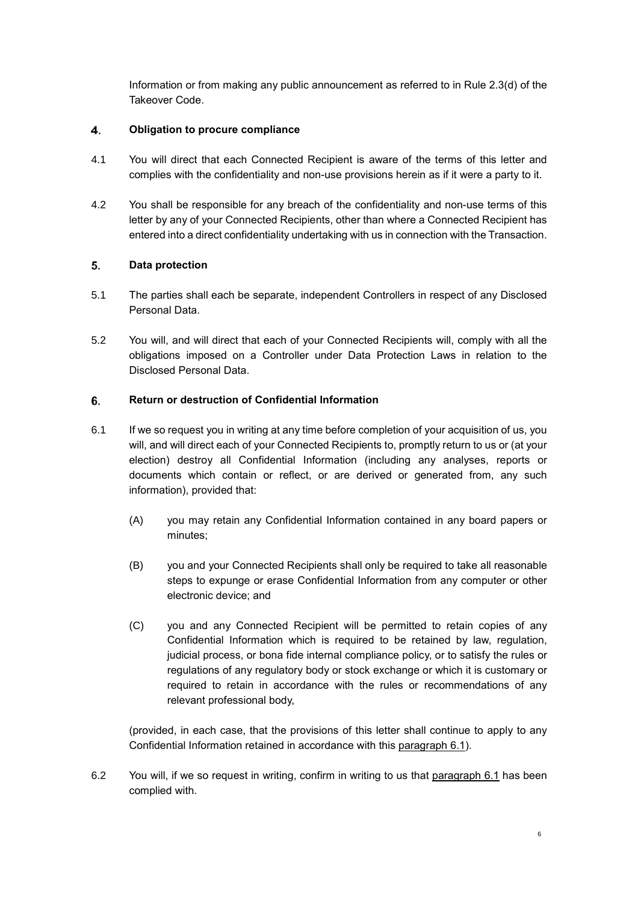Information or from making any public announcement as referred to in Rule 2.3(d) of the Takeover Code.

## 4. **Obligation to procure compliance**

- 4.1 You will direct that each Connected Recipient is aware of the terms of this letter and complies with the confidentiality and non-use provisions herein as if it were a party to it.
- 4.2 You shall be responsible for any breach of the confidentiality and non-use terms of this letter by any of your Connected Recipients, other than where a Connected Recipient has entered into a direct confidentiality undertaking with us in connection with the Transaction.

## 5. **Data protection**

- 5.1 The parties shall each be separate, independent Controllers in respect of any Disclosed Personal Data.
- 5.2 You will, and will direct that each of your Connected Recipients will, comply with all the obligations imposed on a Controller under Data Protection Laws in relation to the Disclosed Personal Data.

## 6. **Return or destruction of Confidential Information**

- 6.1 If we so request you in writing at any time before completion of your acquisition of us, you will, and will direct each of your Connected Recipients to, promptly return to us or (at your election) destroy all Confidential Information (including any analyses, reports or documents which contain or reflect, or are derived or generated from, any such information), provided that:
	- (A) you may retain any Confidential Information contained in any board papers or minutes;
	- (B) you and your Connected Recipients shall only be required to take all reasonable steps to expunge or erase Confidential Information from any computer or other electronic device; and
	- (C) you and any Connected Recipient will be permitted to retain copies of any Confidential Information which is required to be retained by law, regulation, judicial process, or bona fide internal compliance policy, or to satisfy the rules or regulations of any regulatory body or stock exchange or which it is customary or required to retain in accordance with the rules or recommendations of any relevant professional body,

(provided, in each case, that the provisions of this letter shall continue to apply to any Confidential Information retained in accordance with this paragraph 6.1).

6.2 You will, if we so request in writing, confirm in writing to us that paragraph 6.1 has been complied with.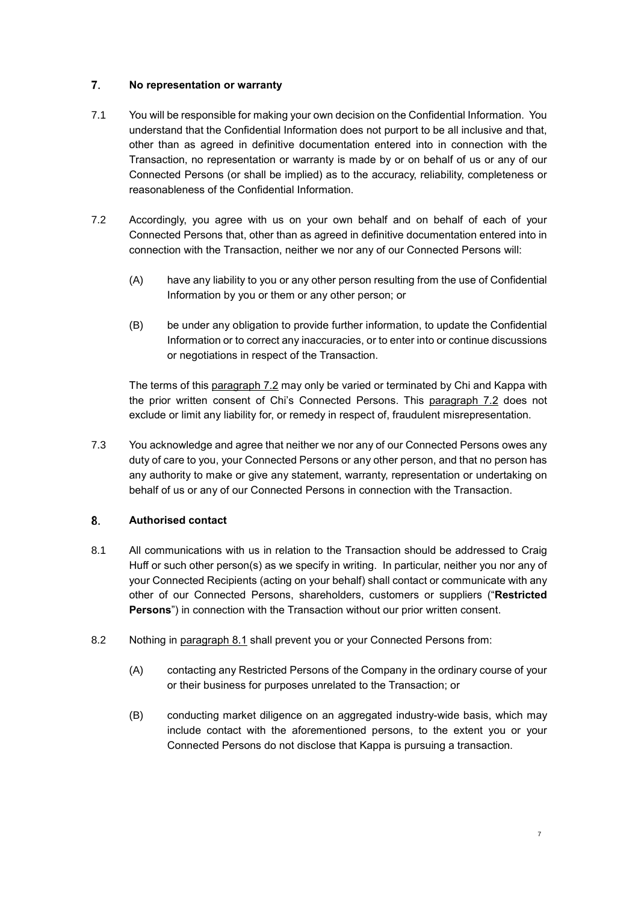## 7. **No representation or warranty**

- 7.1 You will be responsible for making your own decision on the Confidential Information. You understand that the Confidential Information does not purport to be all inclusive and that, other than as agreed in definitive documentation entered into in connection with the Transaction, no representation or warranty is made by or on behalf of us or any of our Connected Persons (or shall be implied) as to the accuracy, reliability, completeness or reasonableness of the Confidential Information.
- 7.2 Accordingly, you agree with us on your own behalf and on behalf of each of your Connected Persons that, other than as agreed in definitive documentation entered into in connection with the Transaction, neither we nor any of our Connected Persons will:
	- (A) have any liability to you or any other person resulting from the use of Confidential Information by you or them or any other person; or
	- (B) be under any obligation to provide further information, to update the Confidential Information or to correct any inaccuracies, or to enter into or continue discussions or negotiations in respect of the Transaction.

The terms of this paragraph 7.2 may only be varied or terminated by Chi and Kappa with the prior written consent of Chi's Connected Persons. This paragraph 7.2 does not exclude or limit any liability for, or remedy in respect of, fraudulent misrepresentation.

7.3 You acknowledge and agree that neither we nor any of our Connected Persons owes any duty of care to you, your Connected Persons or any other person, and that no person has any authority to make or give any statement, warranty, representation or undertaking on behalf of us or any of our Connected Persons in connection with the Transaction.

## 8. **Authorised contact**

- 8.1 All communications with us in relation to the Transaction should be addressed to Craig Huff or such other person(s) as we specify in writing. In particular, neither you nor any of your Connected Recipients (acting on your behalf) shall contact or communicate with any other of our Connected Persons, shareholders, customers or suppliers ("**Restricted Persons**") in connection with the Transaction without our prior written consent.
- 8.2 Nothing in paragraph 8.1 shall prevent you or your Connected Persons from:
	- (A) contacting any Restricted Persons of the Company in the ordinary course of your or their business for purposes unrelated to the Transaction; or
	- (B) conducting market diligence on an aggregated industry-wide basis, which may include contact with the aforementioned persons, to the extent you or your Connected Persons do not disclose that Kappa is pursuing a transaction.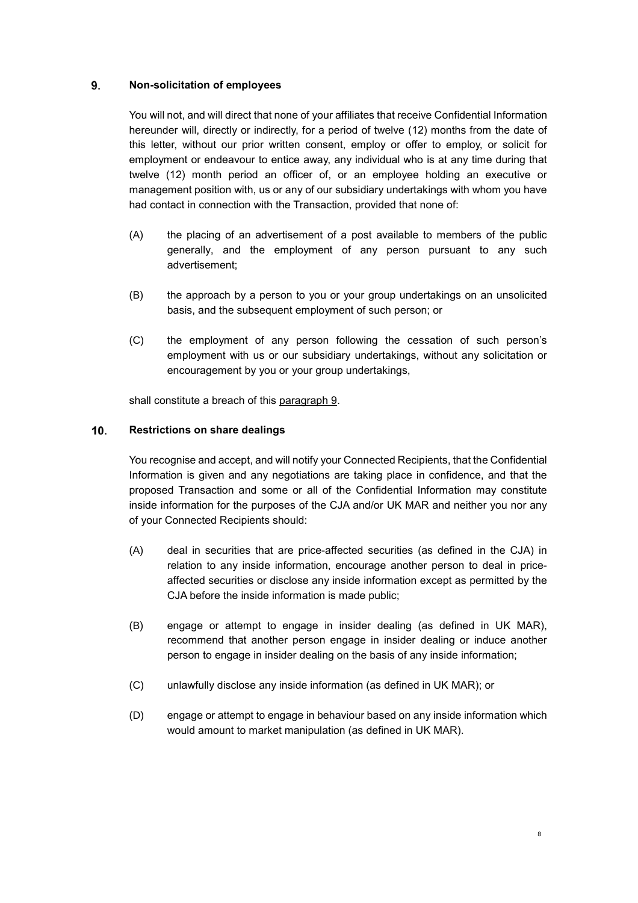## 9. **Non-solicitation of employees**

You will not, and will direct that none of your affiliates that receive Confidential Information hereunder will, directly or indirectly, for a period of twelve (12) months from the date of this letter, without our prior written consent, employ or offer to employ, or solicit for employment or endeavour to entice away, any individual who is at any time during that twelve (12) month period an officer of, or an employee holding an executive or management position with, us or any of our subsidiary undertakings with whom you have had contact in connection with the Transaction, provided that none of:

- (A) the placing of an advertisement of a post available to members of the public generally, and the employment of any person pursuant to any such advertisement;
- (B) the approach by a person to you or your group undertakings on an unsolicited basis, and the subsequent employment of such person; or
- (C) the employment of any person following the cessation of such person's employment with us or our subsidiary undertakings, without any solicitation or encouragement by you or your group undertakings,

shall constitute a breach of this paragraph 9.

## 10. **Restrictions on share dealings**

You recognise and accept, and will notify your Connected Recipients, that the Confidential Information is given and any negotiations are taking place in confidence, and that the proposed Transaction and some or all of the Confidential Information may constitute inside information for the purposes of the CJA and/or UK MAR and neither you nor any of your Connected Recipients should:

- (A) deal in securities that are price-affected securities (as defined in the CJA) in relation to any inside information, encourage another person to deal in priceaffected securities or disclose any inside information except as permitted by the CJA before the inside information is made public;
- (B) engage or attempt to engage in insider dealing (as defined in UK MAR), recommend that another person engage in insider dealing or induce another person to engage in insider dealing on the basis of any inside information;
- (C) unlawfully disclose any inside information (as defined in UK MAR); or
- (D) engage or attempt to engage in behaviour based on any inside information which would amount to market manipulation (as defined in UK MAR).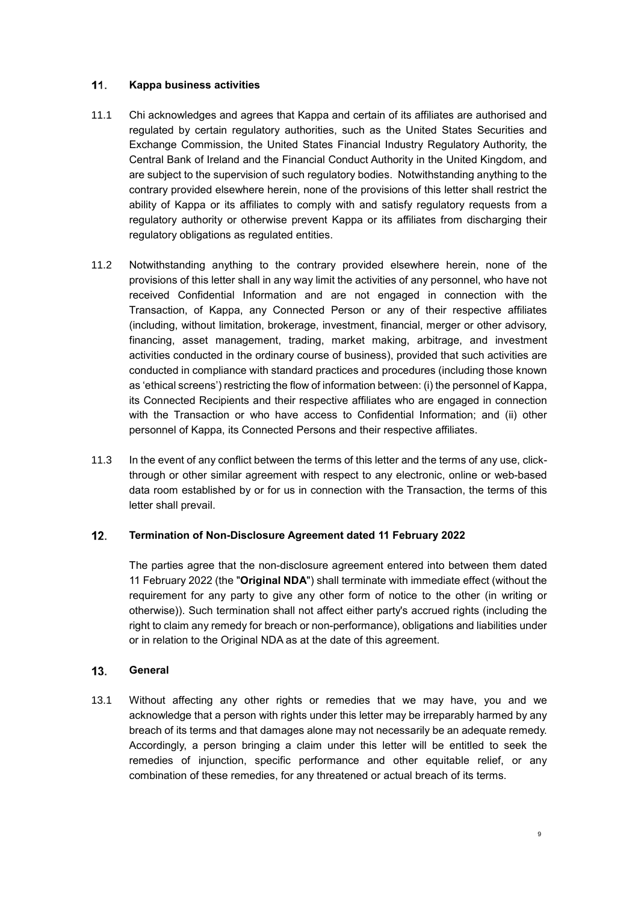#### 11. **Kappa business activities**

- 11.1 Chi acknowledges and agrees that Kappa and certain of its affiliates are authorised and regulated by certain regulatory authorities, such as the United States Securities and Exchange Commission, the United States Financial Industry Regulatory Authority, the Central Bank of Ireland and the Financial Conduct Authority in the United Kingdom, and are subject to the supervision of such regulatory bodies. Notwithstanding anything to the contrary provided elsewhere herein, none of the provisions of this letter shall restrict the ability of Kappa or its affiliates to comply with and satisfy regulatory requests from a regulatory authority or otherwise prevent Kappa or its affiliates from discharging their regulatory obligations as regulated entities.
- 11.2 Notwithstanding anything to the contrary provided elsewhere herein, none of the provisions of this letter shall in any way limit the activities of any personnel, who have not received Confidential Information and are not engaged in connection with the Transaction, of Kappa, any Connected Person or any of their respective affiliates (including, without limitation, brokerage, investment, financial, merger or other advisory, financing, asset management, trading, market making, arbitrage, and investment activities conducted in the ordinary course of business), provided that such activities are conducted in compliance with standard practices and procedures (including those known as 'ethical screens') restricting the flow of information between: (i) the personnel of Kappa, its Connected Recipients and their respective affiliates who are engaged in connection with the Transaction or who have access to Confidential Information; and (ii) other personnel of Kappa, its Connected Persons and their respective affiliates.
- 11.3 In the event of any conflict between the terms of this letter and the terms of any use, clickthrough or other similar agreement with respect to any electronic, online or web-based data room established by or for us in connection with the Transaction, the terms of this letter shall prevail.

#### $12.$ **Termination of Non-Disclosure Agreement dated 11 February 2022**

The parties agree that the non-disclosure agreement entered into between them dated 11 February 2022 (the "**Original NDA**") shall terminate with immediate effect (without the requirement for any party to give any other form of notice to the other (in writing or otherwise)). Such termination shall not affect either party's accrued rights (including the right to claim any remedy for breach or non-performance), obligations and liabilities under or in relation to the Original NDA as at the date of this agreement.

#### **General** 13.

13.1 Without affecting any other rights or remedies that we may have, you and we acknowledge that a person with rights under this letter may be irreparably harmed by any breach of its terms and that damages alone may not necessarily be an adequate remedy. Accordingly, a person bringing a claim under this letter will be entitled to seek the remedies of injunction, specific performance and other equitable relief, or any combination of these remedies, for any threatened or actual breach of its terms.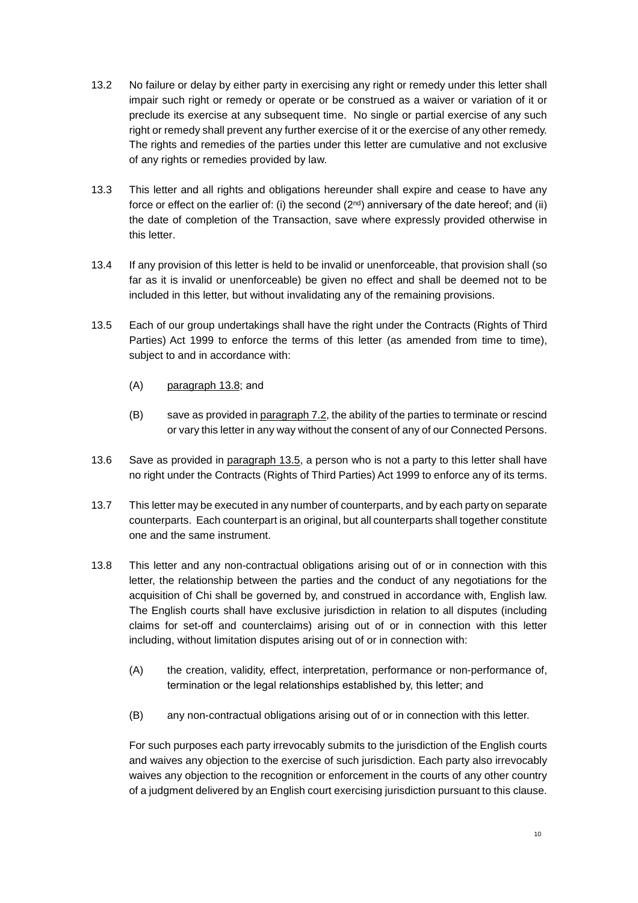- 13.2 No failure or delay by either party in exercising any right or remedy under this letter shall impair such right or remedy or operate or be construed as a waiver or variation of it or preclude its exercise at any subsequent time. No single or partial exercise of any such right or remedy shall prevent any further exercise of it or the exercise of any other remedy. The rights and remedies of the parties under this letter are cumulative and not exclusive of any rights or remedies provided by law.
- 13.3 This letter and all rights and obligations hereunder shall expire and cease to have any force or effect on the earlier of: (i) the second  $(2^{nd})$  anniversary of the date hereof; and (ii) the date of completion of the Transaction, save where expressly provided otherwise in this letter.
- 13.4 If any provision of this letter is held to be invalid or unenforceable, that provision shall (so far as it is invalid or unenforceable) be given no effect and shall be deemed not to be included in this letter, but without invalidating any of the remaining provisions.
- 13.5 Each of our group undertakings shall have the right under the Contracts (Rights of Third Parties) Act 1999 to enforce the terms of this letter (as amended from time to time), subject to and in accordance with:
	- (A) paragraph 13.8; and
	- (B) save as provided in paragraph 7.2, the ability of the parties to terminate or rescind or vary this letter in any way without the consent of any of our Connected Persons.
- 13.6 Save as provided in paragraph 13.5, a person who is not a party to this letter shall have no right under the Contracts (Rights of Third Parties) Act 1999 to enforce any of its terms.
- 13.7 This letter may be executed in any number of counterparts, and by each party on separate counterparts. Each counterpart is an original, but all counterparts shall together constitute one and the same instrument.
- 13.8 This letter and any non-contractual obligations arising out of or in connection with this letter, the relationship between the parties and the conduct of any negotiations for the acquisition of Chi shall be governed by, and construed in accordance with, English law. The English courts shall have exclusive jurisdiction in relation to all disputes (including claims for set-off and counterclaims) arising out of or in connection with this letter including, without limitation disputes arising out of or in connection with:
	- (A) the creation, validity, effect, interpretation, performance or non-performance of, termination or the legal relationships established by, this letter; and
	- (B) any non-contractual obligations arising out of or in connection with this letter.

For such purposes each party irrevocably submits to the jurisdiction of the English courts and waives any objection to the exercise of such jurisdiction. Each party also irrevocably waives any objection to the recognition or enforcement in the courts of any other country of a judgment delivered by an English court exercising jurisdiction pursuant to this clause.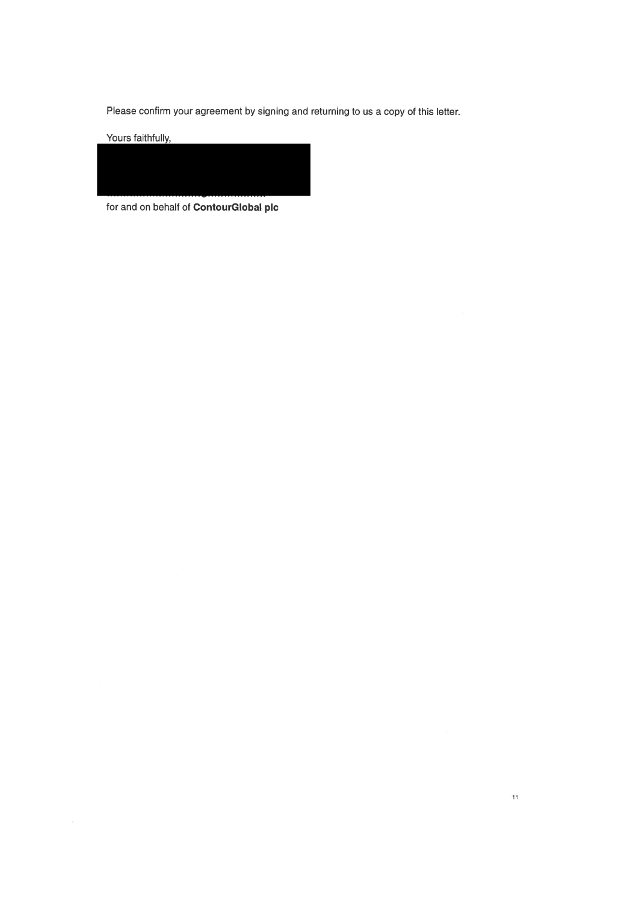Please confirm your agreement by signing and returning to us a copy of this letter.

Yours faithfully,



for and on behalf of ContourGlobal plc